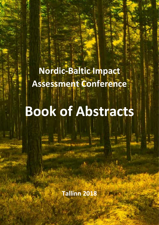**Nordic-Baltic Impact Assessment Conference**

**Book of Abstracts**

**Tallinn 2018**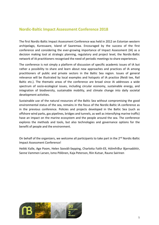## **Nordic-Baltic Impact Assessment Conference 2018**

The first Nordic-Baltic Impact Assessment Conference was held in 2012 on Estonian western archipelago, Kuressaare, Island of Saaremaa. Encouraged by the success of the first conference and considering the ever-growing importance of Impact Assessment (IA) as a decision making tool at strategic planning, regulatory and project level, the Nordic-Baltic network of IA practitioners recognised the need of periodic meetings to share experiences.

The conference is not simply a platform of discussion of specific academic issues of IA but rather a possibility to share and learn about new approaches and practices of IA among practitioners of public and private sectors in the Baltic Sea region. Issues of general relevance will be illustrated by local examples and hotspots of IA practice (Reidi tee, Rail Baltic etc.). The thematic areas of the conference are broad since IA addresses a wide spectrum of socio-ecological issues, including circular economy, sustainable energy, and integration of biodiversity, sustainable mobility, and climate change into daily societal development activities.

Sustainable use of the natural resources of the Baltic Sea without compromising the good environmental status of the sea, remains in the focus of the Nordic-Baltic IA conference as in the previous conference. Policies and projects developed in the Baltic Sea (such as offshore wind parks, gas pipelines, bridges and tunnels, as well as intensifying marine traffic) have an impact on the marine ecosystem and the people around the sea. The conference explores the methods and tools, but also technologies and governance options for the benefit of people and the environment.

On behalf of the organizers, we welcome all participants to take part in the 2<sup>nd</sup> Nordic-Baltic Impact Assessment Conference!

Heikki Kalle, Age Poom, Helen Sooväli-Sepping, Charlotta Faith-Ell, Hólmfríður Bjarnadóttir, Sanne Vammen Larsen, Ismo Pölönen, Kaja Peterson, Riin Kutsar, Rauno Sairinen

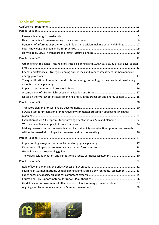# **Table of Contents**

| Dynamics of information provision and influencing decision making: empirical findings 7                                                                                                                                                                                          |  |
|----------------------------------------------------------------------------------------------------------------------------------------------------------------------------------------------------------------------------------------------------------------------------------|--|
|                                                                                                                                                                                                                                                                                  |  |
| Urban energy resilience - the role of strategic planning and SEA: A case study of Reykjavik capital<br>Checks and Balances? Strategic planning approaches and impact assessments in German wind                                                                                  |  |
| The quantification of impacts from distributed energy technology in the consideration of energy<br>Notes on the Workshop: Strategic planning and IA in the transport and energy sectors 18                                                                                       |  |
|                                                                                                                                                                                                                                                                                  |  |
| SEA as a tool for integration of innovative environmental protection approaches in spatial<br>Evaluation of SPEAK-proposals for improving effectiveness in SEA and planning  22<br>Making research matter (more) in favour of sustainability - a reflection upon future research |  |
|                                                                                                                                                                                                                                                                                  |  |
| The value scale foundation and institutional aspects of impact assessments 30                                                                                                                                                                                                    |  |
|                                                                                                                                                                                                                                                                                  |  |
| Learning in German maritime spatial planning and strategic environmental assessment  33<br>Guidelines for improvement of effectiveness of EIA Screening process in Latvia37                                                                                                      |  |
|                                                                                                                                                                                                                                                                                  |  |

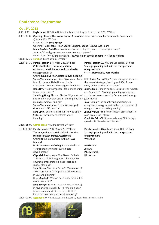## <span id="page-3-0"></span>**Conference Programme**

| Oct 1st, 2018  |                                                                                                                                                                                                                                               |                                                                                                                                  |  |  |
|----------------|-----------------------------------------------------------------------------------------------------------------------------------------------------------------------------------------------------------------------------------------------|----------------------------------------------------------------------------------------------------------------------------------|--|--|
| $8:30 - 9:30$  | <b>Registration</b> @ Tallinn University, Mare building, in front of hall 225, 2 <sup>nd</sup> floor                                                                                                                                          |                                                                                                                                  |  |  |
| $9:30 - 11:30$ | Opening plenary: The role of Impact Assessment as an Instrument for Sustainable Governance<br>@ Mare 225, 2 <sup>nd</sup> floor                                                                                                               |                                                                                                                                  |  |  |
|                | Moderated by Lone Kørnøv<br>Opening: Heikki Kalle, Helen Sooväli-Sepping, Kaupo Heinma, Age Poom<br>Maria Rosário Partidário "IA as an instrument of governance for strategic change"<br>Jos Arts "IA and governance - uncertainty and power" |                                                                                                                                  |  |  |
|                |                                                                                                                                                                                                                                               |                                                                                                                                  |  |  |
|                |                                                                                                                                                                                                                                               |                                                                                                                                  |  |  |
|                | Panel Discussion: Maria Partidário, Jos Arts, Helen Sooväli-Sepping and Kaupo Heinma                                                                                                                                                          |                                                                                                                                  |  |  |
|                | 11:30-12:30 Lunch @ Mare atrium, 3rd floor                                                                                                                                                                                                    |                                                                                                                                  |  |  |
|                | 12:30-14:30 Parallel session 1 @ Mare 225, 2 <sup>nd</sup> floor                                                                                                                                                                              | Parallel session 2A @ Mare Senat Hall, 6th floor                                                                                 |  |  |
|                | Critical reflections on social, cultural,                                                                                                                                                                                                     | Strategic planning and IA in the transport and                                                                                   |  |  |
|                | economic, health impacts and stakeholder                                                                                                                                                                                                      | energy sectors                                                                                                                   |  |  |
|                | engagement in IA                                                                                                                                                                                                                              | Chairs: Heikki Kalle, Ross Marshall                                                                                              |  |  |
|                | Chairs: Rauno Sairinen, Helen Sooväli-Sepping                                                                                                                                                                                                 |                                                                                                                                  |  |  |
|                | Sanne Vammen Larsen, Sara Bjørn Aaen, Anne                                                                                                                                                                                                    | Hólmfríður Bjarnadóttir "Urban energy resilience -                                                                               |  |  |
|                | Merrild Hansen, Helle Nielsen, Lucia                                                                                                                                                                                                          | the role of strategic planning and SEA. A case                                                                                   |  |  |
|                | Mortensen "Renewable energy in headwinds"                                                                                                                                                                                                     | study of Reykjavik capital region"                                                                                               |  |  |
|                | Hans Orru "Health impacts - from mentioning                                                                                                                                                                                                   | Juliane Biehl, Johann Köppel, Gesa Geißler "Checks                                                                               |  |  |
|                | to real assessment"                                                                                                                                                                                                                           | and Balances? - Strategic planning approaches                                                                                    |  |  |
|                | Shiu Fung Hung, Thomas Fischer "Dynamics of<br>information provision and influencing decision governance"                                                                                                                                     | and impact assessments in German wind energy                                                                                     |  |  |
|                | making: empirical findings"                                                                                                                                                                                                                   | Jaak Tuksam "The quantifying of distributed                                                                                      |  |  |
|                | Sanne Vammen Larsen "Local knowledge in<br>Greenlandic EIA practice"                                                                                                                                                                          | energy technology impact in the consideration of<br>energy aspects in spatial planning"                                          |  |  |
|                | Lena Levin, Charlotta Faith-Ell "How to apply                                                                                                                                                                                                 | Jaak Järvekülg "The role of impact assessment in                                                                                 |  |  |
|                | SDG5 in Transport and Infrastructure                                                                                                                                                                                                          | road projects in Estonia"                                                                                                        |  |  |
|                | Planning"                                                                                                                                                                                                                                     | Charlotta Faith-Ell "A comparison of SEA for high<br>speed rail in Sweden and Estonia"                                           |  |  |
|                | 14:30-15:00 Coffee break @ Mare atrium, 3rd floor                                                                                                                                                                                             |                                                                                                                                  |  |  |
|                | 15:00-17:00 Parallel session 3 @ Mare 225, 2 <sup>nd</sup> floor<br>The integration of sustainability in decision<br>making through Impact Assessment<br>Chairs: Ulrika Gunnarsson-Östling, Ross                                              | Parallel session 2B @ Mare Senat Hall, 6th floor<br>Strategic planning and IA in the transport and<br>energy sectors<br>Workshop |  |  |
|                | Marshall                                                                                                                                                                                                                                      |                                                                                                                                  |  |  |

Ulrika Gunnarsson-Östling, Karolina Isaksson Heikki Kalle Jos Arts Pille Metspalu Riin Kutsar

19:00–23:00 Reception @ Platz Restaurant, Roseni 7, according to registration



"Transport planning for sustainable

Olga Melnicenko, Aiga Kāla, Oskars Beikulis "SEA as a tool for integration of innovative environmental protection approaches in

Sirje Pädam, Charlotta Faith-Ell "Evaluation of SPEAK-proposals for improving effectiveness

Ross Marshall "Why we need leadership in EIA

Lone Kørnøv "Making research matter (more) in favour of sustainability – a reflection upon future research within the cross-field of impact assessment and decision-making"

development"

spatial planning"

in SEA and planning"

more than ever!"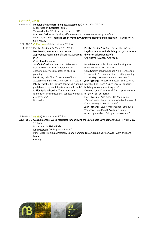# **Oct 2nd, 2018**

| 8:30-10:00 Plenary: Effectiveness in Impact Assessment @ Mare 225, 2 <sup>nd</sup> floor<br>Moderated by Charlotta Faith-Ell<br>Thomas Fischer "Post-factual threats to EIA"<br>Matthew Cashmore "Quality, effectiveness and the science-policy interface" |                                                                                                                                                                                     |  |  |
|------------------------------------------------------------------------------------------------------------------------------------------------------------------------------------------------------------------------------------------------------------|-------------------------------------------------------------------------------------------------------------------------------------------------------------------------------------|--|--|
| Panel Discussion: Thomas Fischer, Matthew Cashmore, Hólmfríður Bjarnadóttir, Tiit Oidjärv and                                                                                                                                                              |                                                                                                                                                                                     |  |  |
| Sirje Pädam                                                                                                                                                                                                                                                |                                                                                                                                                                                     |  |  |
| 10:00-10:30 Coffee break @ Mare atrium, 3rd floor                                                                                                                                                                                                          |                                                                                                                                                                                     |  |  |
| 10:30-12:30 Parallel Session 4 @ Mare 225, 2 <sup>nd</sup> floor<br>Biodiversity, ecosystem services, and<br>Appropriate Assessment of Natura 2000 areas<br>in IA                                                                                          | Parallel Session 5 @ Mare Senat Hall, 6 <sup>th</sup> floor<br>Legal system, capacity building and guidance as a<br>drivers of effectiveness of IA<br>Chair: Ismo Pölönen, Age Poom |  |  |
| Chair: Kaja Peterson                                                                                                                                                                                                                                       |                                                                                                                                                                                     |  |  |
| Josefin Kofoed Schröder, Anna Jakobsson,                                                                                                                                                                                                                   | Ismo Pölönen "Role of law in enhancing the                                                                                                                                          |  |  |
| Berit Brokking Balfors "Implementing<br>ecosystem services by detailed physical<br>planning"                                                                                                                                                               | effectiveness of EIA practice"<br>Gesa Geißler, Johann Köppel, Anke Rehhausen<br>"Learning in German maritime spatial planning                                                      |  |  |
| <b>leva Rove</b> , Laila Sica "Experience of Impact"                                                                                                                                                                                                       | and strategic environmental assessment"                                                                                                                                             |  |  |
| Assessment In State Owned Forests in Latvia"                                                                                                                                                                                                               | Josh Fothergill, Robert Adamczyk, Ben Cave, Jo                                                                                                                                      |  |  |
| Pille Metspalu, Riin Kutsar "Renewing planning                                                                                                                                                                                                             | Murphy, Rob Evans "Experiences of capacity                                                                                                                                          |  |  |
| guidelines for green infrastructure in Estonia"                                                                                                                                                                                                            | building for competent experts"                                                                                                                                                     |  |  |
| Miklós Zsolt Szilvácsku "The value scale                                                                                                                                                                                                                   | Kimmo Jalava "Educational EIA support material                                                                                                                                      |  |  |
| foundation and institutional aspects of impact<br>assessments"                                                                                                                                                                                             | for (new) EIA authorities"<br>Evija Skrastiņa, Aiga Kāla, Olga Melnicenko                                                                                                           |  |  |
| <b>Discussion</b>                                                                                                                                                                                                                                          | "Guidelines for improvement of effectiveness of                                                                                                                                     |  |  |
|                                                                                                                                                                                                                                                            | EIA Screening process in Latvia"                                                                                                                                                    |  |  |
|                                                                                                                                                                                                                                                            | Josh Fothergill, Stuart McLanaghan, Emanuela                                                                                                                                        |  |  |
|                                                                                                                                                                                                                                                            | Vanacore, David Smith "Aligning circular                                                                                                                                            |  |  |
|                                                                                                                                                                                                                                                            | economy standards & impact assessment"                                                                                                                                              |  |  |

12:30–13:30 Lunch @ Mare atrium, 3rd floor

13:30–15:30 Closing plenary: IA as a facilitator for achieving the Sustainable Development Goals @ Mare 225, 2<sup>nd</sup> floor

Moderated by Heikki Kalle

Kaja Peterson, "Linking SDGs into IA"

Panel Discussion: Kaja Peterson, Sanne Vammen Larsen, Rauno Sairinen, Age Poom and Lena Levin

Closing

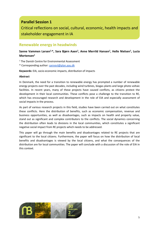## <span id="page-5-0"></span>**Parallel Session 1**

Critical reflections on social, cultural, economic, health impacts and stakeholder engagement in IA

## <span id="page-5-1"></span>**Renewable energy in headwinds**

## Sanne Vammen Larsen<sup>1,\*</sup>, Sara Bjørn Aaen<sup>1</sup>, Anne Merrild Hansen<sup>1</sup>, Helle Nielsen<sup>1</sup>, Lucia **Mortensen1**

<sup>1</sup> The Danish Centre for Environmental Assessment

\* Corresponding author: [sannevl@plan.aau.dk](mailto:sannevl@plan.aau.dk)

**Keywords:** EIA, socio-economic impacts, distribution of impacts

### **Abstract**

In Denmark, the need for a transition to renewable energy has prompted a number of renewable energy projects over the past decades, including wind turbines, biogas plants and large photo voltaic facilities. In recent years, many of these projects have caused conflicts, as citizens protest the development in their local communities. These conflicts pose a challenge to the transition to RE, which has encouraged research and development in the role of EIA and especially assessment of social impacts in the process.

As part of various research projects in this field, studies have been carried out on what constitutes these conflicts. Here the distribution of benefits, such as economic compensation, revenue and business opportunities, as well as disadvantages, such as impacts on health and property value, stand out as significant and complex contributors to the conflicts. The social dynamics concerning the distribution often leads to divisions in the local communities, which constitutes a significant negative social impact from RE projects which needs to be addressed.

This paper will go through the main benefits and disadvantages related to RE projects that are significant to the local citizens. Furthermore, the paper will focus on how the distribution of local benefits and disadvantages is viewed by the local citizens, and what the consequences of the distribution are for local communities. The paper will conclude with a discussion of the role of EIA in this context.

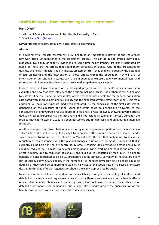## <span id="page-6-0"></span>**Health impacts – from mentioning to real assessment**

### **Hans Orru1,\***

<sup>1</sup> Institute of Family Medicine and Public Health, University of Tartu

\* E-mail: [Hans.Orru@ut.ee](mailto:Hans.Orru@ut.ee)

**Keywords:** public health, air quality, noise, stress, epidemiology

### **Abstract**

In environmental impacts assessment (EIA) health is an important indicator of the influences; however, often just mentioned in the assessment process. This can be due to limited knowledge, resources, availability of experts, evidence etc. Same time health impacts are highly fascinated by public as these are the effects that could them personally influence. One of the procedures to quantity the health impacts is health impacts assessment (HIA) that enables to quantify the potential effects on health and the distribution of those effects within the population. HIA will use (1) information on current health status, (2) change in population exposure to environmental factor and (3) relationship between health and exposure in earlier epidemiological studies.

Current paper will give examples of the transport projects, where the health impacts have been evaluated and how that have influenced the decision making process. One of them is the 21 km long by-pass (18 km in a tunnel) in Stockholm, where the beneficial effects for the general population associated with improved ambient air quality and the expected adverse effects for tunnel users from additional air pollution exposure, had been evaluated. As the conclusion of the first assessment, depending on the exposure of tunnel users, the effect could be beneficial or adverse. As the consequence of unfavourable results, more detailed analysis was followed, showing adverse effects due to increased exposures (as the first analysis did not include all tunnel entrances). Currently the project, that had to start in 2016, has been postpones due to high costs and unfavourable message for public.

Another example comes from Tallinn, where during urban regeneration parts of two main streets in Tallinn city centre will be re-built by 2020 to decrease traffic amounts and create more friendly space for pedestrians and cyclers, called "New Main-street". The aim that analysis was to assess the reduction of health impacts with the planned changes in urban environment. It appeared that if currently air pollution in the city centre study area is causing 30.0 premature deaths annually, it could be reduced by 1.1 cases every year among people living, working and passing the area. The effect is mainly due to reduction of exhaust and less due to reduction of road dust. The health benefits of noise reduction could be 0.1 premature deaths annually. Currently in the area are every day physically active 6,000 people. If the number of 15 minutes physically active people could be doubled or they could be 15 more minutes physically active, this would result in 3 saved premature deaths. So this kind of urban regeneration should the highly appreciated by public.

Nevertheless, those HIAs are dependent on the availability of original epidemiological studies, need detailed exposure data and require resources. Currently there is solid evidence on the health effects on air pollution, noise, chemicals etc and it is growing. One could ask, if in small projects this kind of detailed assessment is too demanding, but in large infrastructure project the quantification of the health consequences could crucial for justified decision-making.

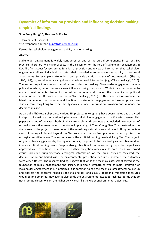# <span id="page-7-0"></span>**Dynamics of information provision and influencing decision making: empirical findings**

### **Shiu Fung Hung1,\*, Thomas B. Fischer1**

<sup>1</sup> University of Liverpool

\* Corresponding author: [hungsfr@liverpool.ac.uk](mailto:hungsfr@liverpool.ac.uk)

**Keywords:** stakeholder engagement, public, decision making

### **Abstract**

Stakeholder engagement is widely considered as one of the crucial components in current EIA practice. There are two major aspects in the discussion on the role of stakeholder engagement in EIA. The first aspect focuses on the function of provision and review of information that stakeholder engagement allows individuals to offer their knowledge to enhance the quality of technical assessments. For example, stakeholders could provide a critical analysis of documentation (Sheate, 1996,p.88); or, could generate cognitive and value-based information (e.g. O'Faircheallaigh, 2010). The second aspect focuses on the influence of decision making. Stakeholder engagement have a political interface, various interests seek influence during the process. While it has the potential to connect environmental issues to the wider democratic discourse, the dynamics of political interaction in the EIA process is unclear (O'Faircheallaigh, 2010). In this paper we re-examine the latest discourse on the potential and function of stakeholder engagement and use empirical case studies from Hong Kong to reveal the dynamics between information provision and influence on decisions-making.

As part of a PhD research project, various EIA projects in Hong Kong have been studied and analyzed in depth to investigate the relationship between stakeholder engagement and EIA effectiveness. This paper picks two of the cases, both of which are public works projects that included development of ecological sensitive areas: one is the strategic planning of Tung Chung New Town extension, the study area of the project covered one of the remaining natural rivers and bays in Hong. After two years of liaising within and beyond the EIA process, a compromised plan was made to protect the ecological sensitive areas. The second case is the artificial bathing beach at Lung Mei. The project, originated from suggestions by the regional council, proposed to turn an ecological sensitive mudflat into an artificial bathing beach. Despite strong objection from concerned groups, the project was approved with conditions to implement further mitigation measures. In both cases, concerned groups provided supplementary ecological information of the area, critically reviewed the documentation and liaised with the environmental protection measures; however, the outcomes were very different. The research findings suggest that while the technical assessment served as the foundation of public engagement and liaison, it is also a strength as well as major limitation of stakeholder engagement in EIA practices. It is common to see the technical assessments follow up and address the concerns raised by the stakeholder, and usually additional mitigation measures would be implemented. However, it also binds the environmental issues to technical terms that do not promote discussions on the higher policy level like the wider environmental objectives.

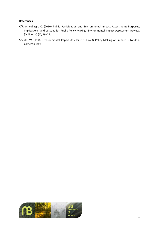#### **References:**

- O'Faircheallaigh, C. (2010) Public Participation and Environmental Impact Assessment: Purposes, Implications, and Lessons for Public Policy Making. Environmental Impact Assessment Review. [Online] 30 (1), 19–27.
- Sheate, W. (1996) Environmental Impact Assessment: Law & Policy Making An Impact II. London, Cameron May.

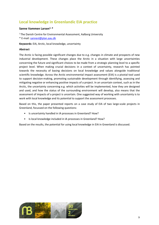# <span id="page-9-0"></span>**Local knowledge in Greenlandic EIA practice**

### Sanne Vammen Larsen<sup>1,\*</sup>

<sup>1</sup> The Danish Centre for Environmental Assessment, Aalborg University

\* E-mail: [sannevl@plan.aau.dk](mailto:sannevl@plan.aau.dk)

**Keywords:** EIA, Arctic, local knowledge, uncertainty

#### **Abstract**

The Arctic is facing possible significant changes due to e.g. changes in climate and prospects of new industrial development. These changes place the Arctic in a situation with large uncertainties concerning the future and significant choices to be made from a strategic planning level to a specific project level. When making crucial decisions in a context of uncertainty, research has pointed towards the necessity of basing decisions on local knowledge and values alongside traditional scientific knowledge. Across the Arctic environmental impact assessment (EIA) is a pivotal tool used to support decision-making, promoting sustainable development through identifying, assessing and mitigating negative or enhancing positive impacts of a project. In an uncertain context, such as in the Arctic, the uncertainty concerning e.g. which activities will be implemented, how they are designed and used, and how the status of the surrounding environment will develop, also means that the assessment of impacts of a project is uncertain. One suggested way of working with uncertainty is to work with local knowledge and its potential to support the assessment processes.

Based on this, the paper presented reports on a case study of EIA of two large-scale projects in Greenland, focussed on the following questions:

- Is uncertainty handled in IA processes in Greenland? How?
- Is local knowledge included in IA processes in Greenland? How?

Based on the results, the potential for using local knowledge in EIA in Greenland is discussed.

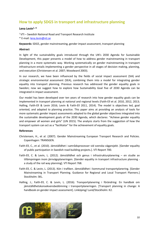## <span id="page-10-0"></span>**How to apply SDG5 in transport and infrastructure planning**

### **Lena Levin1, \***

 $1 VTI -$  Swedish National Road and Transport Research Institute

\* E-mail: [lena.levin@vti.se](mailto:lena.levin@vti.se)

**Keywords:** SDG5, gender mainstreaming, gender impact assessment, transport planning

### **Abstract**

In light of the sustainability goals introduced through the UN's 2030 Agenda for Sustainable Development, this paper presents a model of how to address gender mainstreaming in transport planning in a more systematic way. Working systematically on gender mainstreaming in transport infrastructure entails implementing a gender perspective in all stages of decision making, planning, and execution (Christensen et al. 2007; Woodward 2003).

In our research, we have been influenced by the fields of social impact assessment (SIA) and strategic environmental assessment (SEA), combining them into a model for integrating gender equality into transport planning. Previous research has addressed the gender equality goals in Sweden; now we suggest how to explore how Sustainability Goal five of 2030 Agenda can be integrated in impact assessment.

Our model has been developed over ten years of research into how gender equality goals can be implemented in transport planning at national and regional levels (Faith-Ell et al. 2010, 2012, 2013; Halling, Faith-Ell & Levin 2016; Levin & Faith-Ell 2011, 2014). The model is objectives led, goal oriented, and adapted to planning practice. This paper aims at providing an analysis of tools for more systematic gender impact assessments adapted to the global gender objectives integrated into the sustainable development goals of the 2030 Agenda, which declares: "Achieve gender equality and empower all women and girls" (UN 2015). The analysis starts from the suggestion of how the transport system can act as a "facilitator" for the achievement of equality goals.

#### **References**

- Christensen, H., et al. (2007). Gender Mainstreaming European Transport Research and Policies. Copenhagen: TRANSGEN.
- Faith-Ell, C., et al. (2010). Jämställdhet i samrådsprocesser vid svenska vägprojekt. [Gender equality of public participation in Swedish road building projects.]. VTI Report 700.
- Faith-Ell, C. & Levin, L. (2012). Jämställdhet och genus i infrastrukturplanering en studie av tillämpningen inom järnvägsplaneringen. [Gender equality in transport infrastructure planning a study of the rail way planning]. VTI Report 768.
- Faith-Ell, C. & Levin, L. (2013). Kön i trafiken. Jämställdhet i kommunal transportplanering. [Gender Mainstreaming in Transport Planning. Guidance for Regional and Local Transport Planners.] Stockholm: SKL.
- Halling, J.; Faith-Ell, C. & Levin, L. (2016). Transportplanering i förändring: En handbok om jämställdhetskonsekvensbedömning i transportplaneringen. [Transport planning in change: A handbook on gender impact assessment]. Linköping/ Lund/Stockholm: K2.

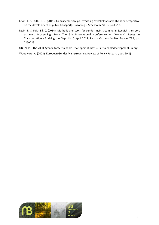- Levin, L. & Faith-Ell, C. (2011). Genusperspektiv på utveckling av kollektivtrafik. [Gender perspective on the development of public transport]. Linköping & Stockholm: VTI Report 712.
- Levin, L. & Faith-Ell, C. (2014). Methods and tools for gender mainstreaming in Swedish transport planning. Proceedings from The 5th International Conference on Women's Issues in Transportation - Bridging the Gap. 14-16 April 2014, Paris - Marne-la-Vallée, France. TRB, pp. 215–223.
- UN (2015). The 2030 Agenda for Sustainable Development. https://sustainabledevelopment.un.org

Woodward, A. (2003). European Gender Mainstreaming. Review of Policy Research, vol. 20(1).

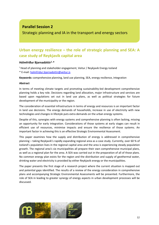## **Parallel Session 2**

Strategic planning and IA in the transport and energy sectors

# <span id="page-12-0"></span>**Urban energy resilience – the role of strategic planning and SEA: A case study of Reykjavik capital area**

## **Hólmfríður Bjarnadóttir1, \***

<sup>1</sup> Head of planning and stakeholder engagement, Veitur / Reykjavik Energy Iceland \* E-mail: [holmfridur.bjarnadottir@veitur.is](mailto:holmfridur.bjarnadottir@veitur.is)

**Keywords:** comprehensive planning, land use planning, SEA, energy resilience, integration

### **Abstract**

In terms of meeting climate targets and promoting sustainability-led development comprehensive planning holds a key role. Decisions regarding land allocation, major infrastructure and services are based upon regulations set out in land use plans, as well as political strategies for future development of the municipality or the region.

The consideration of essential infrastructure in terms of energy and resources is an important factor in land use decisions. The energy demands of households, increase in use of electricity with new technologies and changes in lifestyle puts extra demands on the urban energy systems.

Despite of this, synergies with energy systems and comprehensive planning is often lacking, missing an opportunity for early integration. Considerations of those systems at early stages can result in efficient use of resources, minimise impacts and ensure the resilience of those systems. An important factor in achieving this is an effective Strategic Environmental Assessment.

This paper examines how the supply and distribution of energy is addressed in comprehensive planning – taking Reykjavik's rapidly expanding regional area as a case study. Currently, over 60 % of Iceland's population lives in the regional capital area and the area is experiencing steady population growth. The regional area's six municipalities all prepare their own comprehensive municipal plans, as well as a regional plan for the area. A SEA was carried out in the preparation of all of those plans. No common energy plan exists for the region and the distribution and supply of geothermal water, drinking water and electricity is provided by either Reykjavik energy or the municipalities.

The paper presents the first stage of a research project where the current situation is mapped out and potential gaps identified. The results of a review of the energy consideration in comprehensive plans and accompanying Strategic Environmental Assessments will be presented. Furthermore, the role of SEA in leading to greater synergy of energy aspects in urban development processes will be discussed.

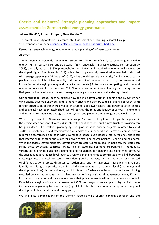# <span id="page-13-0"></span>**Checks and Balances? Strategic planning approaches and impact assessments in German wind energy governance**

### **Juliane Biehl1,\*, Johann Köppel1, Gesa Geißler1\***

1 Technical University of Berlin, Environmental Assessment and Planning Research Group \* Corresponding authors: [juliane.biehl@tu-berlin.de,](mailto:juliane.biehl@tu-berlin.de) [gesa.geissler@tu-berlin.de](mailto:gesa.geissler@tu-berlin.de)

**Keywords:** renewable energy, wind energy, spatial planning of infrastructure, zoning

#### **Abstract**

The German Energiewende (energy transition) contributes significantly to extending renewable energy (RE). In pursuing current trajectories (65% renewables in gross electricity consumption by 2035), annually at least 5 GW photovoltaics and 4 GW land-based wind energy will have to be developed (Agora Energiewende 2018). While Germany currently ranks third in installed land-based wind energy capacity (ca. 51 GW as of 2017), it has the highest relative density (i.e. installed capacity per land area). In light of land scarcity and the pursuit of the energy transition, the pressures and intricacies for strategic planning and impact assessments (IA) to balance competing land uses and myriad interests will further increase. Yet, Germany has an ambitious planning and zoning system that governs the development of wind energy spatially and – above all – at a strategic level.

Our contribution intends both to explore how the multi-level German planning and IA system for wind energy development works and to identify drivers and barriers to this planning approach. With further progression of the Energiewende, instruments of power control and power balance (checks and balances) have been established. We will portray the roles and leeway of various stakeholders and IAs in the German wind energy planning system and pinpoint their strengths and weaknesses.

Wind energy projects in Germany have a 'privileged' status, i.e. they have to be granted a permit if the project does not conflict with public interests and if adequate public infrastructure provision can be guaranteed. The strategic planning system governs wind energy projects in order to avoid scattered development and fragmentation of landscapes. In general, the German planning system follows a decentralised approach with several governance levels (federal, state, regional, and local) that interact with another and allow for power control and power balances (checks and balances). While the federal government sets development trajectories for RE (e.g. in policies), the states can refine these by setting concrete targets (e.g. in state development programmes). Additionally, various states provide guidance documents and regulations for planning and siting wind farms. At the subsequent governance level, over 100 regional planning entities contribute a vital link between state objectives and local interests. In considering public interests, inter alia hot spots of protected wildlife, recreational areas, distances to settlements, and heritage sites, these planning regions identify and designate priority areas for wind development at a strategic level (e.g. in regional development plans). At the local level, municipalities can further zone the actual sites by establishing so-called concentration zones (e.g. in land use or zoning plans). At all governance levels, IAs – as instruments of checks and balances – ensure that public interests will not be adversely affected. Especially strategic environmental assessment (SEA) for programmes and plans plays a vital role in German spatial planning for wind energy (e.g. SEAs for the state development programmes, regional development plans, land-use and zoning plans).

We will discuss implications of the German strategic wind energy planning approach and the

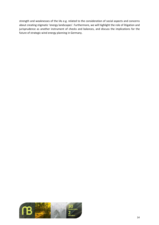strength and weaknesses of the IAs e.g. related to the consideration of social aspects and concerns about creating stigmatic 'energy landscapes'. Furthermore, we will highlight the role of litigation and jurisprudence as another instrument of checks and balances, and discuss the implications for the future of strategic wind energy planning in Germany.

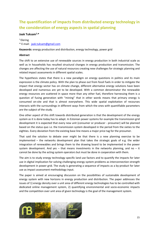# <span id="page-15-0"></span>**The quantification of impacts from distributed energy technology in the consideration of energy aspects in spatial planning**

### **Jaak Tuksam1,\***

## $1$  Elering \* E-mail: [jaak.tuksam@gmail.com](mailto:jaak.tuksam@gmail.com)

**Keywords:** energy production and distribution, energy technology, power grid

### **Abstract**

The shift to an extensive use of renewable sources in energy production in both industrial scale as well as in households has resulted structural changes in energy production and transmission. The changes are affecting the use of natural resources creating new challenges for strategic planning and related impact assessments in different spatial scales.

The hypothesis states that there is a new paradigm on energy questions in politics and its main expression is the climate policy. With the plan to phase out from fossil fuels in order to mitigate the impact that energy sector has on climate change, different alternative energy solutions have been developed and numerous are yet to be developed. With a common denominator the renewable energy resources are scattered in space more than any other fuel, therefore harnessing them is a question of fusing generation with "mining" that in other words means that primary energy is consumed on-site and that is almost everywhere. This wide spatial exploitation of recourses interacts with the surroundings in different ways from which the ones with quantifiable parameters are the subject of the study.

One other aspect of this shift towards distributed generation is that the development of the energy system as it is done today has to adapt. In Estonian power systems for example the transmission grid development it is expected that every new unit (consumer or producer - prosumer) will be planned based on the status quo i.e. the transmission system developed in the period from the sixties to the eighties. Every deviation from the existing base line means a major price tag for the prosumer.

That said the solution to debate over might be that there is a new planning exercise to be implemented – the networks development plan that takes the strategic goals of e.g. the wider integration of renewables and brings them to the drawing board to be implemented in the power system development. And yes  $-$  that means investments in the networks planning, and no  $-$  it cannot be done by the acting system operators but must be done in cooperation with them.

The aim is to study energy technology specific land use factors and to quantify the impacts for later use in digital implication for solving challenging energy system problems as interconnection strength development in power grid. The study is generating a sequence of impacts as a by-product for later use as impact assessment methodology input.

The paper is aimed at encouraging discussion on the possibilities of sustainable development of energy system with new horizons in energy production and distribution. The paper addresses the issues of 1) energy density over a unit area of different energy technologies has to be controlled with dedicated online management system, 2) quantifying environmental and socio-economic impacts and the competition over unit area of given technology is the goal of the management system.

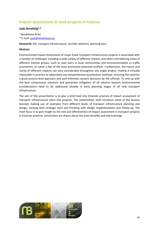# <span id="page-16-0"></span>**Impact assessment in road projects in Estonia**

### **Jaak Järvekülg1,\***

1 Hendrikson & Ko

\* E-mail: [jaak@hendrikson.ee](mailto:jaak@hendrikson.ee)

**Keywords:** EIA, transport infrastructure, corridor selection, planning tiers

### **Abstract**

Environmental Impact Assessment of major linear transport infrastructure projects is associated with a number of challenges including a wide variety of different impacts and often contradicting views of different interest groups, such as road users vs local communities and environmentalists vs traffic economists, to name a few of the most prominent potential conflicts. Furthermore, the nature and clarity of different impacts can vary considerably throughout any single project, making it virtually impossible in practice to objectively use comprehensive quantitative methods, stressing the need for a good process-lead approach and well-informed consent decisions by the officials. To end up with the best compromise solutions and guarantee mitigation of all adverse impacts environmental considerations need to be addressed already in early planning stages of all new transport infrastructure.

The aim of this presentation is to give a brief look into Estonian practice of impact assessment of transport infrastructure plans and projects. The presentation shall introduce some of the lessons learned, making use of examples from different levels of transport infrastructure planning and design, starting with strategic level and finishing with design implementation and follow-up. The main focus is to give insight to the role and effectiveness of impact assessment in transport projects in Estonian practice, conclusions are drawn about the main benefits and shortcomings.

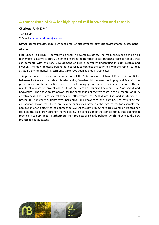# <span id="page-17-0"></span>**A comparison of SEA for high speed rail in Sweden and Estonia**

### **Charlotta Faith-Ell1, \***

1 WSP/EKKI

\* E-mail: [charlotta.faith-ell@wsp.com](mailto:charlotta.faith-ell@wsp.com)

**Keywords:** rail infrastructure, high speed rail, EA effectiveness, strategic environmental assessment

### **Abstract**

High Speed Rail (HSR) is currently planned in several countries. The main argument behind this movement is a strive to curb CO2 emissions from the transport sector through a transport mode that can compete with aviation. Development of HSR is currently undergoing in both Estonia and Sweden. The main objective behind both cases is to connect the countries with the rest of Europe. Strategic Environmental Assessments (SEA) have been applied in both cases.

This presentation is based on a comparison of the SEA processes of two HSR cases; i) Rail Baltic between Tallinn and the Latvian border and ii) Sweden HSR between Jönköping and Malmö. The presentation builds on practical experiences of managing both processes in combination with the results of a research project called SPEAK (Sustainable Planning Environmental Assessment and Knowledge). The analytical framework for the comparison of the two cases in this presentation is EA effectiveness. There are several types off effectiveness of EA that are discussed in literature – procedural, substantive, transactive, normative, and knowledge and learning. The results of the comparison shows that there are several similarities between the two cases, for example the application of an objectives led approach to SEA. At the same time, there are several differences, for example the legal provisions for the two plans. The conclusion of the comparison is that planning in practice is seldom linear. Furthermore, HSR projects are highly political which influences the SEA process to a large extent.

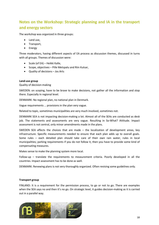# <span id="page-18-0"></span>**Notes on the Workshop: Strategic planning and IA in the transport and energy sectors**

The workshop was organized in three groups:

- Land use,
- Transport,
- Energy

Three moderators, having different aspects of EA process as discussion themes, discussed in turns with all groups. Themes of discussion were:

- Scale (of EA) Heikki Kalle,
- Scope, objectives Pille Metspalu and Riin Kutsar,
- Quality of decisions Jos Arts

#### **Land-use group**

Quality of decision-making

SWEDEN: on scoping, have to be brave to make decisions, not gather all the information and stop there. Especially in regional level.

DENMARK: No regional plan, no national plan in Denmark.

Vague requirements … provisions in the plan very vague.

Related to topic, sometimes municipalities are very much involved, sometimes not.

DENMARK SEA is not impacting decision-making a lot. Almost all of the SEAs are conducted as desk job. The statements and assessments are very vague. Resulting in So-What? Attitude. Impact assessment is not central, only minor amendments made in the plans.

SWEDEN SEA affects the choices that are made – the localization of development areas, key infrastructure. Specific measurements needed to ensure that each plan adds up to overall goals. Some rules – each detailed plan should take care of their own rain water, rules in local municipalities; parking requirements if you do not follow it, then you have to provide some kind of compensating measures.

Makes sense to make the planning system more local.

Follow-up – translate the requirements to measurement criteria. Poorly developed in all the countries. Impact assessment has to be done as well.

DENMARK: Renewing plans is not very thoroughly organized. Often revising some guidelines only.

#### **Transport group**

FINLAND: It is a requirement for the permission process, to go or not to go. There are examples when the SEA says no and then it's no go. On strategic level, it guides decision-making as it is carried out in a parallel way.

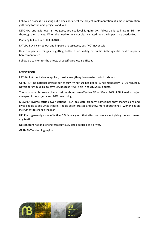Follow-up process is existing but it does not affect the project implementation, it's more information gathering for the next projects and IA-s.

ESTONIA: strategic level is not good, project level is quite OK, follow-up is bad again. Still no thorough alternatives. When the need for IA is not clearly stated then the impacts are overlooked.

Planning failures in NETHERLANDS.

LATVIA: EIA is carried out and impacts are assessed, but "NO" never said.

Health impacts – things are getting better. Used widely by public. Although still health impacts barely mentioned.

Follow-up to monitor the effects of specific project is difficult.

### **Energy group**

LATVIA: EIA is not always applied, mostly everything is evaluated. Wind turbines.

GERMANY: no national strategy for energy. Wind turbines per se IA not mandatory. 6–19 required. Developers would like to have EIA because it will help in court. Social doubts.

Thomas shared his research conclusions about how effective EIA or SEA is. 10% of EIAS lead to major changes of the projects and 20% do nothing.

ICELAND: hydroelectric power stations – EIA calculate properly, sometimes they change plans and gives people to see what's there. People get interested and know more about things. Working as an instrument to change the plan.

UK: EIA is generally more effective. SEA is really not that effective. We are not giving the instrument any teeth.

No coherent national energy strategy; SEA could be used as a driver.

GERMANY – planning region.

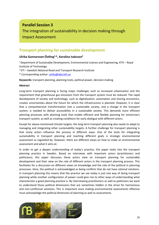## **Parallel Session 3**

# The integration of sustainability in decision making through

Impact Assessment

# <span id="page-20-0"></span>**Transport planning for sustainable development**

## **Ulrika Gunnarsson-Östling1,\*, Karolina Isaksson2**

<sup>1</sup> Department of Sustainable Development, Environmental science and Engineering, KTH – Royal Institute of Technology

 $2$  VTI – Swedish National Road and Transport Research Institute

\* Corresponding author: [ulrika@abe.kth.se](mailto:ulrika@abe.kth.se)

**Keywords:** transport planning, planning tools, political power, decision-making

### **Abstract**

Long-term transport planning is facing major challenges such as increased urbanization and the requirement that greenhouse gas emissions from the transport system must be reduced. The rapid development of society and technology, such as digitalization, automation and sharing economics, creates uncertainties about the future for which the infrastructure is planned. However, it is clear that a comprehensive transformation into a sustainable society, and a change in the transport system, is needed to deliver accessibility in a sustainable society. This demands more efficient planning processes with planning tools that enable efficient and flexible planning for tomorrow's transport system, as well as creating conditions for early dialogue with different actors.

Except for above-mentioned climate targets, the long-term transport planning also needs to adapt to managing and integrating other sustainability targets. A further challenge for transport planning is that many actors influence the process in different ways. One of the tools for integrating sustainability in transport planning and reaching different goals is strategic environmental assessment as regulated by. However, there are different views on how to make an environmental assessment and what it aims at.

In order to get a deeper understanding of today's practice, this paper looks into the transport planning practice in Sweden. Based on interviews with important actors (practitioners and politicians), this paper discusses these actors view on transport planning for sustainable development and their view on the role of different actors in the transport planning process. This facilitates for a discussion on different views on knowledge and the role of the political in planning processes. Here, the political is acknowledged as being conflicts that do not have rational solutions. In transport planning this means that the practice we see today is just one way of doing transport planning while another configuration of power could give rise to other ways of understanding what characterizes a good planning practice is. By interviewing practitioners as well as politicians we want to understand those political dimensions that are sometimes hidden in the strive for harmonious and non-conflictual solutions. This is important since making environmental assessments effective must acknowledge the political dimension of planning as well as assessments.

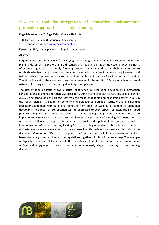# <span id="page-21-0"></span>**SEA as a tool for integration of innovative environmental protection approaches in spatial planning**

## **Olga Melnicenko1,\*, Aiga Kāla1, Oskars Beikulis1**

<sup>1</sup> SIA Estonian, Latvian & Lithuanian Environment

\* Corresponding author: [olga@environment.lv](mailto:olga@environment.lv)

**Keywords:** SEA, spatial planning, mitigation, adaptation

### **Abstract**

Requirements and framework for carrying out strategic environmental assessment (SEA) for planning documents is set forth in EU directives and national legislation. However, in practice SEA is oftentimes regarded as a merely formal procedure, in framework of which it is important to establish whether the planning document complies with legal environmental requirements and follows policy objectives, without setting a higher ambition in terms of environmental protection. Therefore in most of the cases measures recommended in the result of SEA are mostly of a formal nature or focusing strictly on ensuring direct legal compliance.

The presentation at issue shows practical experience in integrating environmental protection considerations in land use through SEA procedure, using example of SEA for Riga city spatial plan for 2030. Being capital and the biggest city with the most inhabitants and economic activity in Latvia, the spatial plan of Riga is rather complex and detailed, consisting of territory use and building regulations and map with functional zones of territories, as well as a number of additional documents. The focus of presentation will be addressed to such aspects as integration of good practice and governance measures related to climate change adaptation and mitigation to be implemented city-wide through land-use requirements, assessment of planning document's impact on human wellbeing through environmental and socio-anthropological perspective, as well as interconnection of various sectors, looking for cross-cutting synergies. Such horizontal aspects as ecosystem services and circular economy are streamlined through various measures throughout the document. Carrying out SEAs of spatial plans it is important to use holistic approach and address issues stemming from requirements in regulations together with functional zone map. The example of Riga city spatial plan SEA also depicts the importance of parallel procedure – i.e. commencement of SEA and engagement of environmental experts in early stage of drafting of the planning document.

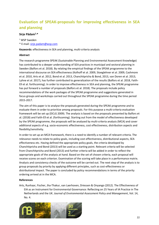# <span id="page-22-0"></span>**Evaluation of SPEAK-proposals for improving effectiveness in SEA and planning**

## **Sirje Pädam1,\***

<sup>1</sup> WSP Sweden \* E-mail: [sirje.padam@wsp.com](mailto:sirje.padam@wsp.com)

**Keywords:** effectiveness in SEA and planning, multi-criteria analysis

### **Abstract**

The research programme SPEAK (Sustainable Planning and Environmental Assessment Knowledge) has contributed to a deeper understanding of SEA practices in municipal and sectoral planning in Sweden (Balfors et al. 2018). By relating the empirical findings of the SPEAK programme to the international discourse on SEA effectiveness (Kolhoff et al. 2009, Stoeglehner et al. 2009, Cashmore et al. 2010, Arts et al. 2012, Bond et al. 2013, Chanchitpricha & Bond, 2013, van Doren et al. 2013, Lyhne et al. 2017), has further contributed to generalization of the results (Balfors et al. 2018, Faith-Ell et al. forthcoming). In order to improve effectiveness in SEA and planning, the SPEAK programme has put forward a number of proposals (Balfors et al. 2018). The proposals include policy recommendations of the work packages of the SPEAK programme and suggestions generated in focus groups and workshops carried out throughout the SPEAK programme during the time period 2015-2017.

The aim of this paper is to analyse the proposals generated during the SPEAK programme and to evaluate them in order to prioritize among proposals. For this purpose a multi-criteria evaluation framework will be set up (DCLG 2009). The analysis is based on the proposals presented by Balfors et al. (2018) and Faith-Ell et al. (forthcoming). Starting out from the model of effectiveness developed by the SPEAK programme, the proposals will be analysed by multi-criteria analysis (MCA) and cover additional aspects of e.g. socio-economic effectiveness, cost effectiveness, distribution aspects and flexibility/sensitivity.

In order to set up an MCA framework, there is a need to identify a number of relevant criteria. The relevance needs to relate to policy goals, including cost-effectiveness, distributional aspects, SEA effectiveness etc. Having defined the appropriate policy goals, the criteria developed by Chanchitpricha and Bond (2013) will be used as a starting point. Relevant criteria will be selected from Chanchitpricha and Bond (2013) and further criteria will be added in order to reflect the appropriate goals of the analysis at hand. Based on the set of chosen criteria, each proposal will receive scores on each criterion. Examination of the scoring will take place in a performance matrix. Analysis and consistency checks of the outcome will be carried out. The next step of the analysis is to group proposals by priority by applying different principles, such as cost-effectiveness or distributional impact. The paper is concluded by policy recommendations in terms of the priority ordering arrived at in the MCA.

## **References**

Arts, Runhaar, Fischer, Jha-Thakur, van Laerhoven, Driessen & Onyango (2012). The Effectiveness of EIA as an Instrument for Environmental Governance: Reflecting on 25 Years of IA Practice in The Netherlands and the UK. *Journal of Environmental Assessment Policy and Management*, Vol. 14, No. 4.

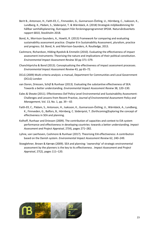- Berit B., Antonson, H., Faith-Ell, C., Finnveden, G., Gunnarsson-Östling, U., Hörnberg, C., Isaksson, K., Lundberg, K., Pädam, S., Söderqvist, T. & Wärnbäck, A. (2018) Strategisk miljöbedömning för hållbar samhällsplanering, Slutrapport från forskningsprogrammet SPEAK. Naturvårdsverkets rapport 6810, Stockholm 2018.
- Bond, A., Morrison-Saunders, A., Howitt, R. (2013) Framework for comparing and evaluating sustainability assessment practice. Chapter 8 in Sustainability Assessment, pluralism, practice and progress. Ed. Bond, A. and Morrison-Saunders, A. Routledge, 2013.
- Cashmore, Richardson, Hilding-Ryedvik & Emmelin (2010). Evaluating the effectiveness of impact assessment instruments: Theorising the nature and implications of their political constitution. *Environmental Impact Assessment Review* 30 pp 371–379.
- Chanchitpricha & Bond (2013). Conceptualising the effectiveness of impact assessment processes. *Environmental Impact Assessment Review* 43, pp 65–72.
- DCLG (2009) Multi-criteria analysis: a manual, Department for Communities and Local Government (DCLG) London
- van Doren, Driessen, Schijf & Runhaar (2013). Evaluating the substantive effectiveness of SEA: Towards a better understanding. *Environmental Impact Assessment Review* 38, 120–130.
- Eales & Sheate (2011). Effectiveness Oof Policy Level Environmental and Sustainability Assessment: Challenges and Lessons from Recent Practice, *Journal of Environmental Assessment Policy and Management*, Vol. 13, No. 1, pp. 39 – 65
- Faith-Ell, C., Pädam, S., Antonson, H., Isaksson, K., Gunnarsson-Östling, U., Wärnbäck, A., Lundberg, K., Finnveden, G., Balfors, B., Hörnberg, C. Söderqvist, T. (forthcoming)Exploring the concept of effectiveness in SEA and planning.
- Kolhoff, Runhaar and Driessen (2009). The contribution of capacities and context to EIA system performance and effectiveness in developing countries: towards a better understanding. *Impact Assessment and Project Appraisal*, 27(4), pages 271–282.
- Lyhne, van Laerhoven, Cashmore & Runhaar (2017). Theorising EIA effectiveness: A contribution based on the Danish system. *Environmental Impact Assessment Review* 62, 240–249.
- Stoeglehner, Brown & Kørnøv (2009). SEA and planning: 'ownership' of strategic environmental assessment by the planners is the key to its effectiveness *. Impact Assessment and Project Appraisal*, 27(2), pages 111–120.

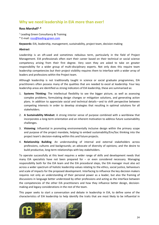## <span id="page-24-0"></span>**Why we need leadership in EIA more than ever!**

### **Ross Marshall1, \***

- <sup>1</sup> Leading Green Consultancy & Training
- \* E-mail: [ross@leading-green.com](mailto:ross@leading-green.com)

**Keywords:** EIA, leadership, management, sustainability, project team, decision-making

### **Abstract**

Leadership is an oft-used and sometimes nebulous term, particularly in the field of Project Management. EIA professionals often start their career based on their technical or social science competency arising from their first degree. Very soon they are asked to take on greater responsibility for a wider group of multi-disciplinary experts. Not only does this require team leadership competencies but their project visibility requires them to interface with a wider array of leaders and professions within the Project team.

Although leadership is not traditionally taught in science or social graduate programmes, EIA practitioners often possess many of the qualities that are needed to excel at leadership. Four key leadership areas are identified as strong indicators of EIA leadership, these are summarised as:

- 1. **Systems Thinking**: The intellectual flexibility to see the bigger picture, as well as assessing complex problems, formulating design changes or mitigation solutions, and generating action plans. In addition to appreciate social and technical details—and to shift perspective between competing interests in order to develop strategies that resulting in optimal solutions for all stakeholders.
- 2. **A Sustainability Mindset**: A strong interior sense of purpose combined with a worldview that incorporates a long-term orientation and an inherent motivation to address future sustainability challenges.
- 3. **Visioning**: Influential in promoting environmentally inclusive design within the primary scope and purpose of the project mandate, helping to embed sustainability/Env/Soc thinking into the project team's decision-making within this and future projects.
- 4. **Relationship Building**: An understanding of internal and external stakeholders across professions, cultures and backgrounds; an advocate of diversity of opinions; and the desire to build productive, long-term relationships with key stakeholders.

To operate successfully at this level requires a wider range of skills and development needs that many EIA specialists have not been prepared for – or even considered necessary. Managing responsibility both for the EIA team and the EIA procedural steps, the EIA manager must also act across a wider spectrum of holistic leadership values relating to the ethics, social justice, behaviours and scale of impacts for the proposed development. Interfacing to influence the key decision makers requires not only an understanding of their personal power as a leader, but also the framing of discussions in language better understood by other professions and acting as the interface between the competencies of the other EIA practitioners and how they influence better design, decisionmaking and legacy considerations in the rest of the team.

This paper seeks to start a conversation and debate in leadership in EIA, to define some of the characteristics of EIA leadership to help identify the traits that are most likely to be influential in

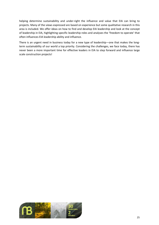helping determine sustainability and under-right the influence and value that EIA can bring to projects. Many of the views expressed are based on experience but some qualitative research in this area is included. We offer ideas on how to find and develop EIA leadership and look at the concept of leadership in EIA, highlighting specific leadership roles and analyses the 'freedom to operate' that often influences EIA leadership ability and influence.

There is an urgent need in business today for a new type of leadership—one that makes the longterm sustainability of our world a top priority. Considering the challenges, we face today, there has never been a more important time for effective leaders in EIA to step forward and influence large scale construction projects!

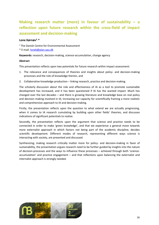# <span id="page-26-0"></span>**Making research matter (more) in favour of sustainability – a reflection upon future research within the cross-field of impact assessment and decision-making**

### **Lone Kørnøv1, \***

 $<sup>1</sup>$  The Danish Centre for Environmental Assessment</sup>

\* E-mail: [lonek@plan.aau.dk](mailto:lonek@plan.aau.dk)

**Keywords:** research, decision-making, science-accumulation, change agency

### **Abstract**

This presentation reflects upon two potentials for future research within impact assessment:

- 1. The relevance and consequences of theories and insights about policy- and decision-making processes and the role of knowledge therein, and
- 2. Collaborative knowledge production linking research, practice and decision-making.

The scholarly discussion about the role and effectiveness of IA as a tool to promote sustainable development has increased, and it has been questioned if IA has the wanted impact. Much has changed over the last decades – and there is growing literature and knowledge base on real policy and decision making involved in IA; increasing our capacity for scientifically framing a more realistic and comprehensive approach to IA and decision-making.

Firstly, the presentation reflects upon the question to what extend we are actually progressing, when it comes to IA research cumulating by building upon other fields' theories, and discusses indications of significant potentials to realize.

Secondly, the presentation reflects upon the argument that science and practice needs to be connected in order to make 'green knowledge', and that we experience a general move towards more externalist approach in which factors not being part of the academic discipline, decides scientific development. Different modes of research, representing different ways science is interacting with society, are presented and discussed.

Synthesizing; making research critically matter more for policy- and decision-making in favor of sustainability, the presentation argues research need to be further guided by insights into the nature of decision-processes and the ways to influence these processes – achieved through both 'scienceaccumulation' and practice engagement – and that reflections upon balancing the externalist and internalist approach is strongly needed.

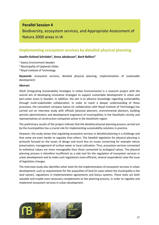## **Parallel Session 4**

Biodiversity, ecosystem services, and Appropriate Assessment of Natura 2000 areas in IA

## <span id="page-27-0"></span>**Implementing ecosystem services by detailed physical planning**

## **Josefin Kofoed Schröder1, Anna Jakobsson2, Berit Balfors3**

- <sup>1</sup> Sweco Environment Sweden
- <sup>2</sup> Municipality of Upplands Väsby
- <sup>3</sup> Royal Institute of Technology

**Keywords:** ecosystem services, detailed physical planning, implementation of sustainable development

#### **Abstract**

ISSUE (Integrating Sustainability Strategies in Urban Environments) is a research project with the overall aim of developing innovative strategies to support sustainable development in urban and peri-urban areas in Sweden. In addition, the aim is to advance knowledge regarding sustainability through multi-stakeholder collaboration. In order to reach a deeper understanding of these processes, the consultant company Sweco (in collaboration with Royal Institute of Technology) has carried out an interview study with officials (physical planners, environmental planners, building permits administrators and development engineers) of municipalities in the Stockholm vicinity and representatives at construction companies active in the Stockholm region.

The preliminary results of the project indicate that the detailed physical planning process carried out by the municipalities has a crucial role for implementing sustainability solutions in practice.

However, the study shows that regulating ecosystem services in detailed planning is a challenge and that some are even harder to regulate than others. The Swedish legislation for physical planning is primarily focused on the issues of design and much less on issues concerning for example nature preservation, management of surface water or local cultivation. Thus, ecosystem services connected to esthetical values are more manageable than those connected to ecological values. The physical planning process is therefore insufficient as a sole tool for the regulation of ecosystem services in urban development and to make such regulations more efficient, several respondents raise the issue of legislation changes.

The interview study also identifies other tools for the implementation of ecosystem services in urban development, such as requirements for the acquisition of land (in cases where the municipality is the land owner), regulations in implementation agreements and bonus systems. These tools are both valuable and maybe even necessary complements to the planning process, in order to regulate and implement ecosystem services in urban development.

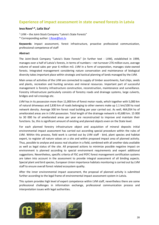## <span id="page-28-0"></span>**Experience of impact assessment in state owned forests in Latvia**

### **Ieva Rove1,\*, Laila Sica1**

<sup>1</sup> LVM – the Joint-Stock Company "Latvia's State Forests"

\* Corresponding author: [I.Rove@lvm.lv](mailto:I.Rove@lvm.lv)

**Keywords:** impact assessment, forest infrastructure, proactive professional communication, professional competence of staff

### **Abstract**

The Joint-Stock Company "Latvia's State Forests" (in further text - LVM), established in 1999, manages over a half of Latvia's forests, in terms of numbers – net turnover 276 million euro, average volume of wood sales per year 6 million m3. LVM in a form of corporation, manages state-owned forests. Integrated management considering nature conservation and maintenance of biological diversity takes important place within strategic and tactical planning of lands managed by the LVM.

Main areas of activities of the LVM are connected to supply of timber assortments, fuel chips, seeds and plants, recreation and hunting services and mineral resources. Important part of successful management is forestry infrastructure construction, reconstruction, maintenance and surveillance. Forestry infrastructure particularly consists of forestry roads and drainage systems, large culverts, bridges and rail crossings etc.

LVM has in its possession more than 11,000 km of forest motor roads, which together with 5,000 km of natural driveways and 2,830 km of roads belonging to other owners make up 1.1 km/100 ha road network density. Average 300 km forest road building per year carried out. As well, 464,054 ha of ameliorated areas are in LVM possession. Total length of the drainage network is 43,680 km. 15 000 to 30 000 ha of ameliorated areas per year are reconstructed to improve and maintain their functions. So, this is significant amount of existing and planned objects even on the State level.

For each planned forestry infrastructure object and acquisition of mineral deposits initial environmental impact assessment has carried out according special procedure within the rules of LVM. Within this process, field work is carried out by LVM staff - bird, plant species and habitat expert, to register all nature values on a site and within proposed impact area of planned activity. Thus, possible to analyse and assess real situation in a field, combined with all another data available as well as legal status of the site. All proposed actions to minimize possible negative impact on environment is planned according to special environment requirements and expert additional suggestions. Nevertheless, specific criteria of FSC and PEFC forest management certification systems are taken into account in the assessment to provide integral assessment of all binding aspects. Special plant and bird species, European Union importance habitats monitoring is carried out by LVM staff to ensure overall forest related ecosystem quality.

After the inner environmental impact assessment, the proposal of planned activity is submitted further according to the legal frame of environmental impact assessment system in Latvia.

This system provides high level of expert competence within LVM staff, nevertheless there are some professional challenges in information exchange, professional communication process and interpretation issues with legal authorities.

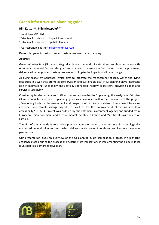# <span id="page-29-0"></span>**Green infrastructure planning guide**

## **Riin Kutsar<sup>1,2</sup>, Pille Metspalu<sup>1,3,\*</sup>**

**<sup>1</sup>**Hendrikson&Ko Ltd **<sup>2</sup>**Estonian Association of Impact Assessment **<sup>3</sup>**Estonian Association of Spatial Planners

\* Corresponding author: [pille@hendrikson.ee](mailto:pille@hendrikson.ee)

**Keywords:** green infrastructure, ecosystem services, spatial planning

### **Abstract**

Green infrastructure (GI) is a strategically planned network of natural and semi-natural areas with other environmental features designed and managed to ensure the functioning of natural processes, deliver a wide range of ecosystem services and mitigate the impacts of climate change.

Applying ecosystem approach (which aims to integrate the management of land, water and living resources in a way that promotes conservation and sustainable use) in GI planning plays important role in maintaining functionally and spatially connected, healthy ecosystems providing goods and services sustainably.

Considering fundamental aims of GI and recent approaches to GI planning, the analysis of Estonian GI was conducted and new GI planning guide was developed within the framework of the project "Developing tools for the assessment and prognosis of biodiversity status, closely linked to socioeconomic and climate change aspects, as well as for the improvement of biodiversity data accessibility." (ELME). Project was ordered by the Estonian Environment Agency and funded from European Union Cohesion Fund, Environmental Investment Centre and Ministry of Environment of Estonia.

The aim of the GI guide is to provide practical advice on how to plan and use GI as ecologically connected network of ecosystems, which deliver a wide range of goods and services in a long-term perspective.

Our presentation gives an overview of the GI planning guide compilation process. We highlight challenges faced during the process and describe first implications in implementing the guide in local municipalities' comprehensive plans.

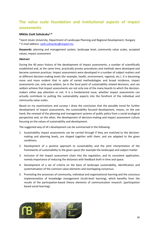# <span id="page-30-0"></span>**The value scale foundation and institutional aspects of impact assessments**

### **Miklós Zsolt Szilvácsku1,\***

**<sup>1</sup>**Szent István University, Department of Landscape Planning and Regional Development, Hungary \* E-mail address: [zsolt.szilvacsku@respect.hu](mailto:zsolt.szilvacsku@respect.hu)

**Keywords:** planning and management system, landscape level, community value scales, accepted values, impact assessment

### **Abstract**

During the 40 years history of the development of impact assessments, a number of scientifically established and, at the same time, practically proven procedures and methods were developed and became common practices. Impact assessments were developed in a number of subject matters and at different decision-making levels (for example, health, environment, regional, etc.). It is becoming more and more evident that in spite of varied methodologies and broad incidence, impact assessments can, only very seldom, be in the focal point of sustainability related decisions, and can seldom achieve that impact assessments are not only one of the many boards to which the decisionmakers either pay attention or not. It is a fundamental issue, whether impact assessments can actually contribute to putting the sustainability aspects into the forefront of the individual and community value scales.

Based on my examinations and surveys I drew the conclusion that the possible trend for further development of impact assessments, the sustainability focused development, means, on the one hand, the renewal of the planning and management systems of public policy from a social-ecological perspective and, on the other, the development of decision-making and impact assessment culture focusing on the values of sustainability and development.

The suggested way of IA's development can be summarised in the following:

- 1. Sustainability impact assessments can be carried through if they are matched to the decisionmaking and planning levels, are shaped together with them, and are adapted to the given conditions.
- 2. Development of a positive approach to sustainability and the joint interpretation of the frameworks of sustainability to the given space (for example the landscape) and subject matter.
- 3. Inclusion of the impact assessment chain into the regulation, and its consistent application, namely importance of reducing the distances with feedback both in time and space.
- 4. Development of a set of criteria on the basis of landscape sustainability, identification and systematisation of the common value elements and overlapping consensus.
- 5. Promoting the processes of community, individual and organisational learning and the conscious implementation of knowledge management (multi-level learning), which benefits from the results of the participation-based theory elements of communication research. (participation based social learning).

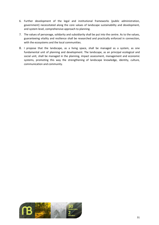- 6. Further development of the legal and institutional frameworks (public administration, government) necessitated along the core values of landscape sustainability and development, and system level, comprehensive approach to planning.
- 7. The values of personage, solidarity and subsidiarity shall be put into the centre. As to the values, guaranteeing vitality and resilience shall be researched and practically enforced in connection, with the ecosystems and the local communities.
- 8. I propose that the landscape, as a living space, shall be managed as a system, as one fundamental unit of planning and development. The landscape, as an principal ecological and social unit, shall be managed in the planning, impact assessment, management and economic systems, promoting this way the strengthening of landscape knowledge, identity, culture, communication and community.

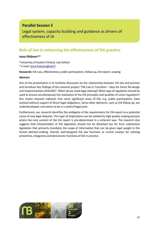# **Parallel Session 5**

Legal system, capacity building and guidance as drivers of effectiveness of IA

# <span id="page-32-0"></span>**Role of law in enhancing the effectiveness of EIA practice**

### **Ismo Pölönen1,\***

**<sup>1</sup>**University of Eastern Finland, Law School

\* E-mail: [Ismo.Polonen@uef.fi](mailto:Ismo.Polonen@uef.fi)

**Keywords:** EIA Law, effectiveness, public participation, follow-up, EIA report, scoping

### **Abstract**

Aim of the presentation is to facilitate discussion on the relationship between EIA law and practice and introduce key findings of the research project "EIA Law in Transition – Keys for Smart Re-design and Implementation (EIALAW)". When do we need legal steering? What type of regulation should be used to ensure simultaneously the realization of the EIA principles and qualities of smart regulation? Our recent research indicates that some significant areas of EIA, e.g. public participation, have evolved without support of direct legal obligations. Some other elements, such as EIA follow-up, are underdeveloped, and seems to be in a need of legal push.

Furthermore, our research identifies the ambiguity of the requirements for EIA report as a potential cause of new legal disputes. This type of implications can be tackled by high quality scoping process where the core content of the EIA report is pre-determined in a coherent way. The research also suggests that interpretation of EIA legislation should not be detached too far from substantive legislation that primarily mandates the scope of information that can be given legal weight in the formal decision-making. Overall, well-designed EIA law functions as crucial catalyst for utilizing preventive, integrative and democratic functions of EIA in practice.

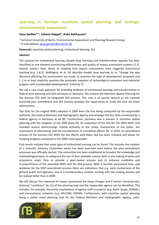# <span id="page-33-0"></span>**Learning in German maritime spatial planning and strategic environmental assessment**

### **Gesa Geißler1,\*, Johann Köppel1, Anke Rehhausen1**

1 Technical University of Berlin, Environmental Assessment and Planning Research Group \* E-mail address[: gesa.geissler@tu-berlin.de](mailto:gesa.geissler@tu-berlin.de)

**Keywords:** maritime spatial planning, institutional learning, SEA

### **Abstract**

The capacity for institutional learning (double loop learning) and transformative capacity has been identified as one element constituting effectiveness and quality of impact assessment systems [1,2]. Several authors have aimed at studying how impact assessments have triggered institutional learning [e.g. 3,4,5]. Wallington et al. [6] describe double loop learning as to "change the way decisions affecting the environment are made, to question the type of development proposed and [...] to at least implicitly question the automatic equation of technological innovation and industrial progress with (sustainable) development" [cited by 7].

We use a case study approach for providing evidence of institutional learning and transformation in federal level planning and SEA processes in Germany. We analyse the Maritime Spatial Planning for the German EEZ with its integrated SEA process. This case is of special interest as the recently launched plan amendment and SEA process provides the opportunity to study the case via direct observations.

The SEAs for the original MSPs adopted in 2009 were the first being conducted by the responsible authority, the Federal Maritime and Hydrographic Agency and amongst the first SEAs conducted by a federal agency in Germany at all [8]. Furthermore, Germany was a pioneer in maritime spatial planning with the adoption of the 2009 plans [9]. An evaluation of the SEA for the 2009 MSPs [10] revealed several shortcomings related primarily to the timely involvement of the public, the assessment of alternatives and the consideration of cumulative effects [9]. In 2018, an amendment process of the German EEZ MSPs for the (North and) Baltic Sea has been initiated and allows for studying progress compared to the 2009 initial approach.

First results indicate that some signs of institutional learning can be found. This includes the creation of a Scientific Advisory Committee which has been launched even before the plan amendment processes was officially started. This committee has been established to broaden the knowledge and methodological basis, to safeguard the use of best available science both in the making of plans and procedural steps, thus to provide a peer-review process and to enhance credibility and trustworthiness of the amended MSPs and the SEA process. With a recently announced time- and workplan for the MSP amendment process there are indications that e.g. early involvement of the general public and agencies, also in a transboundary context, starting with the scoping process will be realized other than in 2009.

We will discuss the relevance of impact assessment for those changes and if certain characteristics [internal "conditions" by 11] of the planning task and the responsible agency can be identified. This includes, for example, the active involvement of agency staff in projects (e.g. Baltic Scope, SEANSE,) and transnational networks (e.g. HELCOM, OSPAR). Furthermore, with maritime spatial planning being a rather novel planning task for the Federal Maritime and Hydrographic Agency, path-

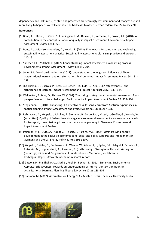dependency and lock-in [12] of staff and processes are seemingly less dominant and changes are still more likely to happen. We will compare the MSP case to other German federal level SEA cases [9].

### **References**

- [1] Bond, A.J., Retief, F., Cave, B., Fundingsland, M., Duinker, P., Verheem, R., Brown, A.L. (2018): A contribution to the conceptualisation of quality in impact assessment. Environmental Impact Assessment Review 68: 49-58.
- [2] Bond, A.J., Morrison-Saunders, A., Howitt, R. (2013): Framework for comparing and evaluating sustainability assessment practice. Sustainability assessment: pluralism, practice and progress: 117-131.
- [3] Sánchez, L.E., Mitchell, R. (2017): Conceptualizing impact assessment as a learning process. Environmental Impact Assessment Review 62: 195-204.
- [4] Jones, M., Morrison-Saunders, A. (2017): Understanding the long-term influence of EIA on organisational learning and transformation. Environmental Impact Assessment Review 64: 131- 138.
- [5] Jha-Thakur, U., Gazzola, P., Peel, D., Fischer, T.B., Kidd, S. (2009). SEA effectiveness the significance of learning. Impact Assessment and Project Appraisal, 27(2): 133–144.
- [6] Wallington, T., Bina, O., Thissen, W. (2007): Theorising strategic environmental assessment: fresh perspectives and future challenges. Environmental Impact Assessment Review 27: 569–584.
- [7] Stöglehner, G. (2010). Enhancing SEA effectiveness: lessons learnt from Austrian experiences in spatial planning. Impact Assessment and Project Appraisal, 28(3), 217-231.
- [8] Rehhausen, A., Köppel, J., Scholles, F., Stemmer, B., Syrbe, R-U., Magel, I., Geißler, G., Wende, W. (submitted): Quality of federal level strategic environmental assessment – A case study analysis for transport, transmission grid and maritime spatial planning in Germany. Environmental Impact Assessment Review.
- [9] Portman, M.E., Duff, J.A., Köppel, J. Reisert, J., Higgins, M.E. (2009): Offshore wind energy development in the exclusive economic zone: Legal and policy supports and impediments in Germany and the US. Energy Policy 37(9): 3596-3607.
- [10] Köppel, J, Geißler, G., Rehhausen, A., Wende, W., Albrecht, J., Syrbe, R-U., Magel, I., Scholles, F., Putschky, M., Hoppenstedt, A., Stemmer, B. (forthcoming): Strategische Umweltprüfung und (neuartige) Pläne und Programme auf Bundesebene – Methoden, Verfahren und Rechtsgrundlagen. Umweltbundesamt. research report.
- [11] Gazzola, P., Jha-Thakur, U., Kidd, S., Peel, D., Fischer, T. (2011): Enhancing Environmental Appraisal Effectiveness: Towards an Understanding of Internal Context Conditions in Organisational Learning. Planning Theory & Practice 12(2): 183-204
- [12] Dahmen, M. (2017): Alternatives in Energy SEAs. Master-Thesis. Technical University Berlin.

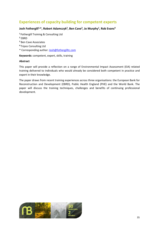# <span id="page-35-0"></span>**Experiences of capacity building for competent experts**

## Josh Fothergill<sup>1,\*</sup>, Robert Adamczyk<sup>2</sup>, Ben Cave<sup>3</sup>, Jo Murphy<sup>1</sup>, Rob Evans<sup>4</sup>

**<sup>1</sup>**Fothergill Training & Consulting Ltd

- **<sup>2</sup>** EBRD
- **<sup>3</sup>** Ben Cave Associates
- **<sup>4</sup>**Tripos Consulting Ltd
- \* Corresponding author: [Josh@fothergilltc.com](mailto:Josh@fothergilltc.com)

**Keywords:** competent, expert, skills, training

### **Abstract**

This paper will provide a reflection on a range of Environmental Impact Assessment (EIA) related training delivered to individuals who would already be considered both competent in practice and expert in their knowledge.

The paper draws from recent training experiences across three organisations: the European Bank for Reconstruction and Development (EBRD), Public Health England (PHE) and the World Bank. The paper will discuss the training techniques, challenges and benefits of continuing professional development.

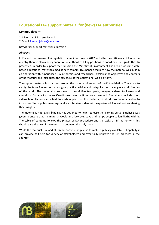# <span id="page-36-0"></span>**Educational EIA support material for (new) EIA authorities**

### **Kimmo Jalava1,\***

- <sup>1</sup> University of Eastern Finland
- \* E-mail: [kimmo.jalava@gmail.com](mailto:kimmo.jalava@gmail.com)

**Keywords:** support material, education

### **Abstract**

In Finland the renewed EIA legislation came into force in 2017 and after over 20 years of EIA in the country there is also a new generation of authorities filling positions to coordinate and guide the EIA processes. In order to support the transition the Ministry of Environment has been producing webbased educational material aimed at new-comers. This paper describes how the material was built in co-operation with experienced EIA authorities and researchers, explains the objectives and contents of the material and introduces the structure of the educational web-platform.

The support material is structured around the main requirements of the EIA legislation. The aim is to clarify the tasks EIA authority has, give practical advice and outspoke the challenges and difficulties of the work. The material makes use of descriptive text parts, images, videos, toolboxes and checklists. For specific issues Question/Answer sections were reserved. The videos include short videoschool lectures attached to certain parts of the material, a short promotional video to introduce EIA in public meetings and an interview video with experienced EIA authorities sharing their insights.

The material is not legally binding, it is designed to help – to ease the learning curve. Emphasis was given to ensure that the material would also look attractive and tempt people to familiarize with it. The table of contents follows the phases of EIA procedure and the tasks of EIA authority  $-$  this should ease the use of the material in between the daily work.

While the material is aimed at EIA authorities the plan is to make it publicly available – hopefully it can provide self-help for variety of stakeholders and eventually improve the EIA practices in the country.

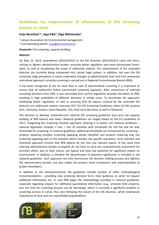# <span id="page-37-0"></span>**Guidelines for improvement of effectiveness of EIA Screening process in Latvia**

### **Evija Skrastiņa1,\*, Aiga Kāla1, Olga Melnicenko1**

<sup>1</sup> Latvian Association for Environmental management \* Corresponding author: [evija@environment.lv](mailto:evija@environment.lv)

**Keywords:** EIA screening, capacity building

#### **Abstract**

On May 15, 2014, amendment (2014/52/EU) to the EIA Directive (2011/92/EU) came into force, striving to lighten administrative burden, ensuring better regulation and more harmonized framework, as well as broadening the scope of addressed aspects. The requirements of the amended directive are currently being transposed into Latvian legal system. In addition, last year the EIA screening stage procedure in Latvia underwent changes at administrative level and from previously centralized approach currently screening is carried out in Regional Environmental Boards (REB).

It has been recognized at the EU level that in case of decentralized screening it is important to ensure that all authorities follow harmonized screening approach. After assessment of selected screening decisions from REB, it was concluded that current legislation provides discretion to REB, resulting in high probability of different decisions in similar cases. To harmonize the approach, facilitating better regulation, as well as ensuring that all aspects covered by the amended EIA directive are addressed, experts assessed 2017 EU EIA Screening Guidelines, other EU MS practice (incl., Germany, Austria, Czech Republic, UK), local court decisions, as well as literature.

The decision to develop comprehensive national EIA screening guidelines and carry out capacity building of REB experts was taken. National guidelines are largely based on the EU Guidelines of 2017, integrating the screening checklist approach, tailoring it to better suit national conditions – national legislation includes 2 lists – lists of activities with thresholds for full EIA and list with thresholds for screening. In national guidelines additional thresholds are introduced for screening – projects requiring complex screening (applying whole checklist) and projects requiring only site screening (applying part of the checklist which includes site-specific questions). Such checklist and threshold approach ensures that REB experts do not miss any relevant aspect, at the same time relieving administrative burden as experts do not have to carry out comprehensive assessment for activities which, due to their nature, are typical and have low potential for significant impact on environment. In addition, a checklist for identification of potential significance is included in the national guidelines. Such approach not only harmonizes the decision making process and lightens the administrative burden, but also makes the process more transparent and understandable to project developers.

In addition to the abovementioned, the guidelines include number of other methodological recommendations – providing new screening decision form, clear guidance on when to request additional information etc. In case REB adapt the methodology provided in national guidelines, especially regarding request for additional quantitative information (e.g., emission limit projects), also the time for screening process can be decreased, which is currently a significant problem in screening process in Latvia, thus also following the nature of the EIA directive, which emphasizes importance of clear and not unjustifiably long deadlines.

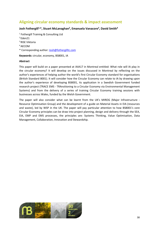## <span id="page-38-0"></span>**Aligning circular economy standards & impact assessment**

## Josh Fothergill<sup>1,\*</sup>, Stuart McLanaghan<sup>2</sup>, Emanuela Vanacore<sup>3</sup>, David Smith<sup>4</sup>

<sup>1</sup> Fothergill Training & Consulting Ltd  $2$  Eden21 3 RISE Viktoria 4 AECOM \* Corresponding author*:* [Josh@fothergilltc.com](mailto:Josh@fothergilltc.com)

**Keywords:** circular, economy, BS8001, IA

### **Abstract**

This paper will build on a paper presented at IAIA17 in Montreal entitled: What role will IA play in the circular economy? It will develop on the issues discussed in Montreal by reflecting on the author's experiences of helping author the world's first Circular Economy standard for organisations (British Standard 8001). It will consider how the Circular Economy can relate to IA by drawing upon the author's experience of developing BS8001, its application in a Swedish Government funded research project (TRACE EMS - TRAnsitioning to a Circular Economy via Environmental Management Systems) and from the delivery of a series of training Circular Economy training sessions with businesses across Wales, funded by the Welsh Government.

The paper will also consider what can be learnt from the UK's MIROG (Major Infrastructure - Resource Optimisation Group) and the development of a guide on Material Assets in EIA (resources and waste), led by WSP in the UK. The paper will pay particular attention to how BS8001's core Circular Economy principles can be draw into project planning, design and delivery through the SEA, EIA, EMP and EMS processes, the principles are: Systems Thinking, Value Optimisation, Data Management, Collaboration, Innovation and Stewardship.